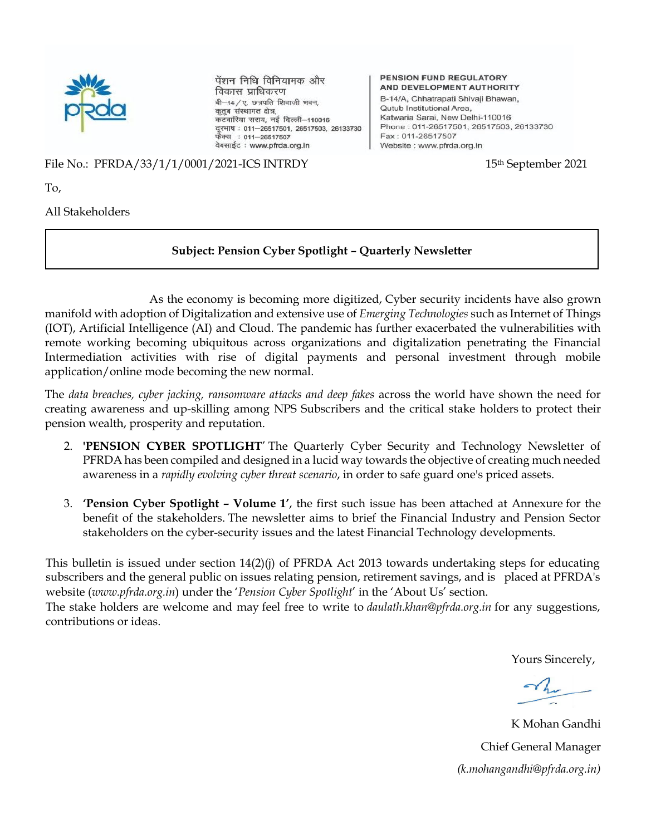

पेंशन निधि विनियामक और विकास प्राधिकरण बी-14/ए, छत्रपति शिवाजी भवन, कुतुब संस्थागत क्षेत्र, कटवारिया सराय, नई दिल्ली-110016 दूरभाष: 011-26517501, 26517503, 26133730 फैक्स : 011-26517507 वेबसाईट: www.pfrda.org.in

#### PENSION FUND REGULATORY AND DEVELOPMENT AUTHORITY

B-14/A, Chhatrapati Shivaji Bhawan, **Outub Institutional Area.** Katwaria Sarai, New Delhi-110016 Phone: 011-26517501, 26517503, 26133730 Fax: 011-26517507 Website : www.pfrda.org.in

File No.: PFRDA/33/1/1/0001/2021-ICS INTRDY 15th September 2021

To,

All Stakeholders

#### **Subject: Pension Cyber Spotlight – Quarterly Newsletter**

 As the economy is becoming more digitized, Cyber security incidents have also grown manifold with adoption of Digitalization and extensive use of *Emerging Technologies* such as Internet of Things (IOT), Artificial Intelligence (AI) and Cloud. The pandemic has further exacerbated the vulnerabilities with remote working becoming ubiquitous across organizations and digitalization penetrating the Financial Intermediation activities with rise of digital payments and personal investment through mobile application/online mode becoming the new normal.

The *data breaches, cyber jacking, ransomware attacks and deep fakes* across the world have shown the need for creating awareness and up-skilling among NPS Subscribers and the critical stake holders to protect their pension wealth, prosperity and reputation.

- 2. **'PENSION CYBER SPOTLIGHT**' The Quarterly Cyber Security and Technology Newsletter of PFRDA has been compiled and designed in a lucid way towards the objective of creating much needed awareness in a *rapidly evolving cyber threat scenario*, in order to safe guard one's priced assets.
- 3. **'Pension Cyber Spotlight – Volume 1'**, the first such issue has been attached at Annexure for the benefit of the stakeholders. The newsletter aims to brief the Financial Industry and Pension Sector stakeholders on the cyber-security issues and the latest Financial Technology developments.

This bulletin is issued under section 14(2)(j) of PFRDA Act 2013 towards undertaking steps for educating subscribers and the general public on issues relating pension, retirement savings, and is placed at PFRDA's website (*www.pfrda.org.in*) under the '*Pension Cyber Spotlight*' in the 'About Us' section.

The stake holders are welcome and may feel free to write to *daulath.khan@pfrda.org.in* for any suggestions, contributions or ideas.

Yours Sincerely,

K Mohan Gandhi Chief General Manager *(k.mohangandhi@pfrda.org.in)*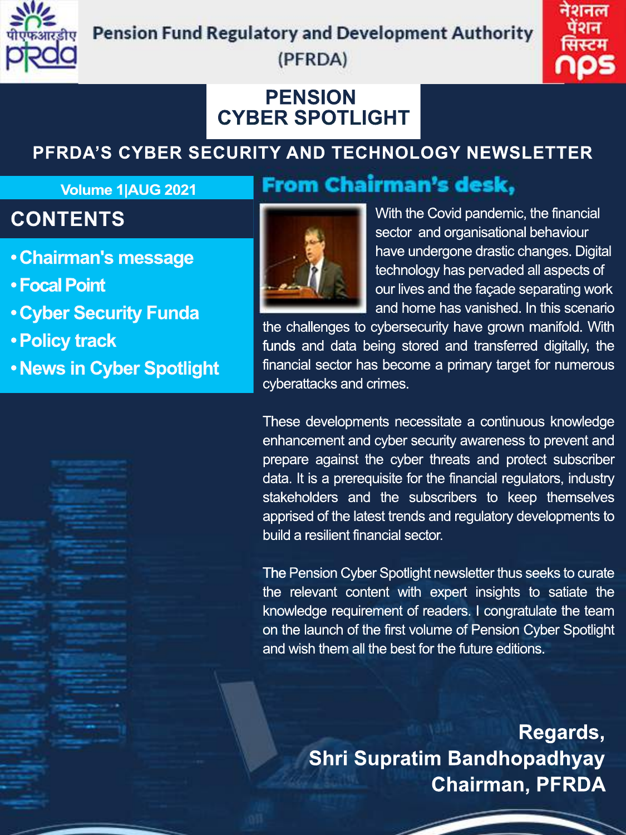

#### **Pension Fund Regulatory and Development Authority**



#### (PFRDA)

### **PENSION CYBERSPOTLIGHT**

# **PFRDA'SCYBERSECURITYANDTECHNOLOGYNEWSLETTER**

**From Chairman's desk,** 

#### **Volume 1|AUG 2021**

# **CONTENTS**

- **Chairman's message**
- **•FocalPoint**
- **Cyber Security Funda**
- **Policy track**
- **•NewsinCyberSpotlight**



With the Covid pandemic, the financial sector and organisational behaviour have undergone drastic changes. Digital technology has pervaded all aspects of our lives and the façade separating work and home has vanished. In this scenario

the challenges to cybersecurity have grown manifold. With funds and data being stored and transferred digitally, the financial sector has become a primary target for numerous cyberattacks and crimes.

These developments necessitate a continuous knowledge enhancement and cyber security awareness to prevent and prepare against the cyber threats and protect subscriber data. It is a prerequisite for the financial regulators, industry stakeholders and the subscribers to keep themselves apprised of the latest trends and regulatory developments to build a resilient financial sector.

The Pension Cyber Spotlight newsletter thus seeks to curate the relevant content with expert insights to satiate the knowledge requirement of readers. I congratulate the team on the launch of the first volume of Pension Cyber Spotlight and wish them all the best for the future editions.

> **Regards, Shri Supratim Bandhopadhyay Chairman, PFRDA**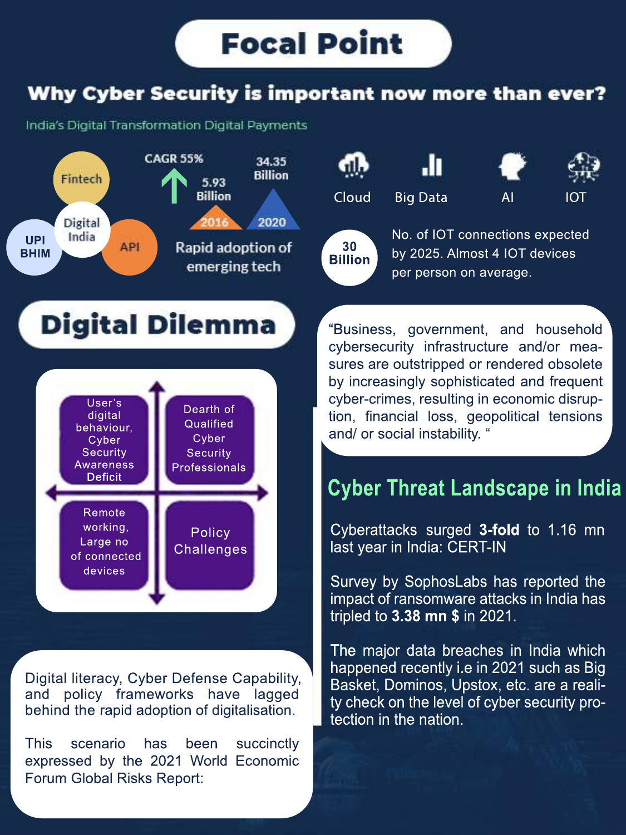## Why Cyber Security is important now more than ever?

India's Digital Transformation Digital Payments





No. of IOT connections expected by 2025. Almost 4 IOT devices per person on average.

# Digital Dilemma



Digital literacy, Cyber Defense Capability, and policy frameworks have lagged behind the rapid adoption of digitalisation.

This scenario has been succinctly expressed by the 2021 World Economic Forum Global Risks Report:

"Business, government, and household cybersecurity infrastructure and/or measures are outstripped or rendered obsolete by increasingly sophisticated and frequent cyber-crimes, resulting in economic disruption, financial loss, geopolitical tensions and/ or social instability. "

# **Cyber Threat Landscape in India**

Cyberattacks surged 3-fold to 1.16 mn last year in India: CERT-IN

Survey by SophosLabs has reported the impact of ransomware attacks in India has tripledto**3.38mn\$**in2021.

The major data breaches in India which happened recently i.e in 2021 such as Big Basket, Dominos, Upstox, etc. are a reality check on the level of cyber security protection in the nation.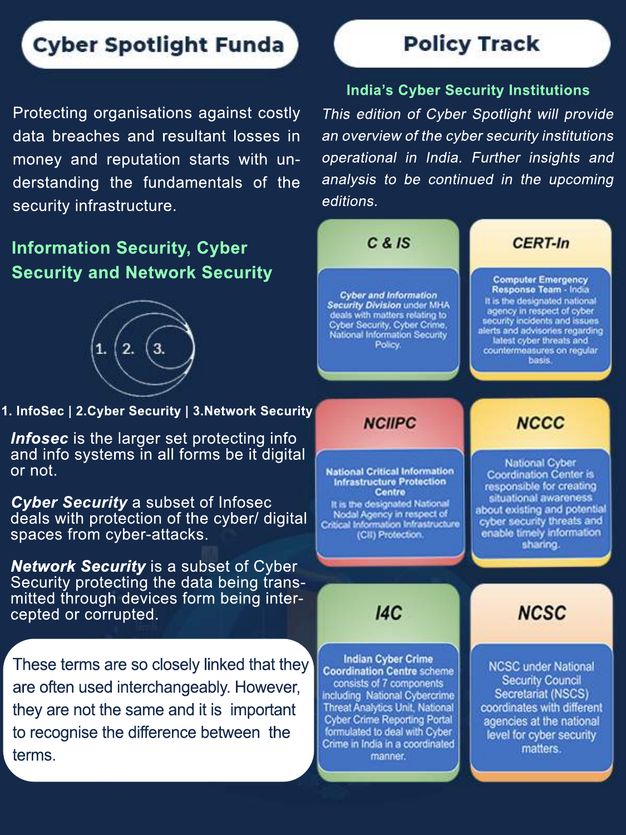# **Cyber Spotlight Funda**

Protecting organisations against costly data breaches and resultant losses in money and reputation starts with understanding the fundamentals of the security infrastructure.

#### **Information Security, Cyber Security and Network Security**



**1. InfoSec | 2.Cyber Security | 3.Network Security** 

*Infosec* is the larger set protecting info and info systems in all forms be it digital or not.

**Cyber Security** a subset of Infosec deals with protection of the cyber/ digital spaces from cyber-attacks.

**Network Security** is a subset of Cyber Security protecting the data being transmitted through devices form being intercepted or corrupted.

These terms are so closely linked that they are often used interchangeably. However, they are not the same and it is important to recognise the difference between the terms.

# **Policy Track**

#### **India's Cyber Security Institutions**

This edition of Cyber Spotlight will provide an overview of the cyber security institutions operational in India. Further insights and analysis to be continued in the upcoming editions.



manner.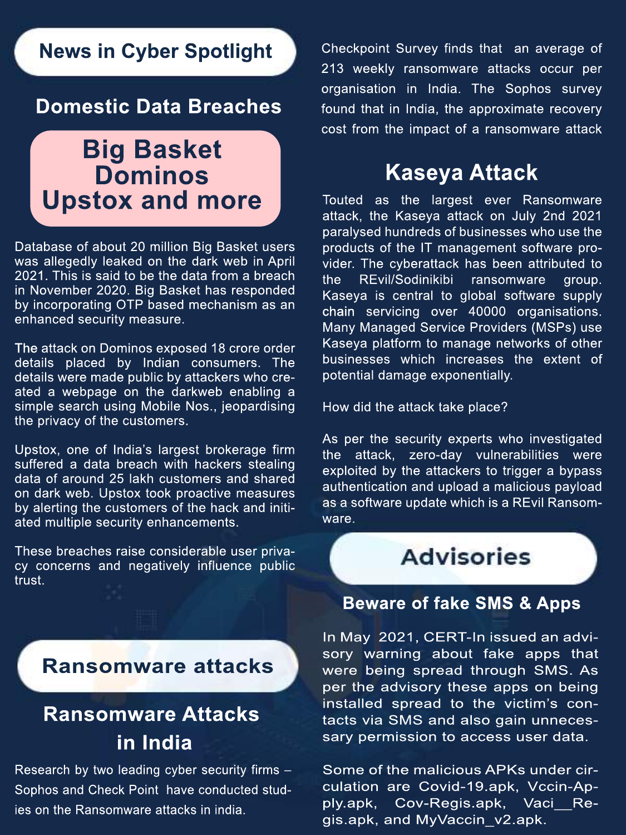### **News in Cyber Spotlight**

#### **Domestic Data Breaches**

# **Big Basket Dominos**

Database of about 20 million Big Basket users was allegedly leaked on the dark web in April 2021. This is said to be the data from a breach in November 2020. Big Basket has responded by incorporating OTP based mechanism as an enhanced security measure.

The attack on Dominos exposed 18 crore order details placed by Indian consumers. The details were made public by attackers who created a webpage on the darkweb enabling a simple search using Mobile Nos., jeopardising the privacy of the customers.

Upstox, one of India's largest brokerage firm suffered a data breach with hackers stealing data of around 25 lakh customers and shared on dark web. Upstox took proactive measures by alerting the customers of the hack and initiated multiple security enhancements.

These breaches raise considerable user privacy concerns and negatively influence public trust.

Checkpoint Survey finds that an average of 213 weekly ransomware attacks occur per organisation in India.The Sophos survey found that in India, the approximate recovery cost from the impact of a ransomware attack

# **KaseyaAttack**

Upstox and more Touted as the largest ever Ransomware attack, the Kaseya attack on July 2nd 2021 paralysed hundreds of businesses who use the products of the IT management software provider. The cyberattack has been attributed to the REvil/Sodinikibi ransomware group. Kaseya is central to global software supply chain servicing over 40000 organisations. Many Managed Service Providers (MSPs) use Kaseya platform to manage networks of other businesses which increases the extent of potential damage exponentially.

How did the attack take place?

As per the security experts who investigated the attack, zero-day vulnerabilities were exploited by the attackers to trigger a bypass authentication and upload a malicious payload as a software update which is a REvil Ransomware.

**Advisories** 

#### **Beware of fake SMS & Apps**

In May 2021, CERT-In issued an advisory warning about fake apps that were being spread through SMS. As per the advisory these apps on being installed spread to the victim's contacts via SMS and also gain unnecessary permission to access user data.

Some of the malicious APKs under circulation are Covid-19.apk, Vccin-Apply.apk, Cov-Regis.apk, Vaci\_\_Regis.apk, and MyVaccin\_v2.apk.

#### **Ransomware attacks**

# **Ransomware Attacks in India**

Research by two leading cyber security firms  $-$ Sophos and Check Point have conducted studies on the Ransomware attacks in india.